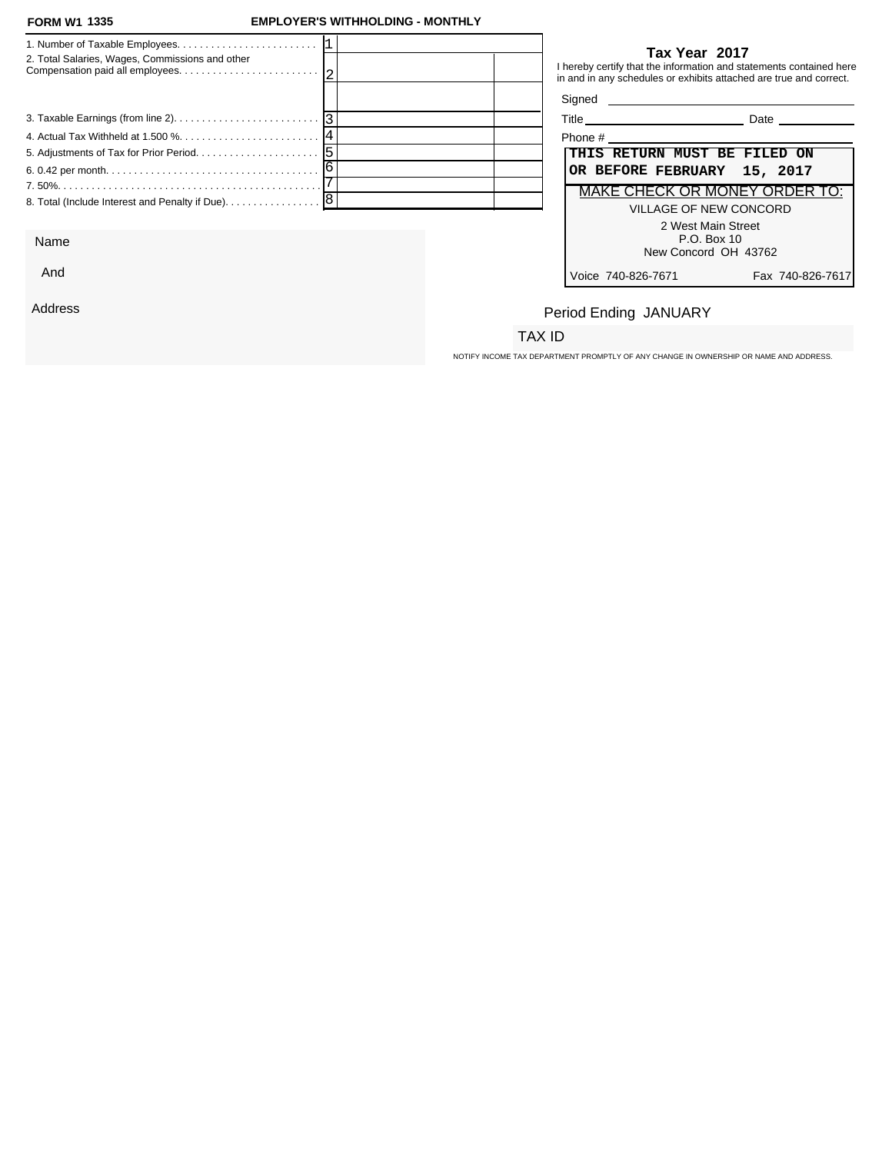### **FORM W1 EMPLOYER'S WITHHOLDING - MONTHLY**

|                                                   | Tax Year 2017                                                                                                                             |
|---------------------------------------------------|-------------------------------------------------------------------------------------------------------------------------------------------|
| 2. Total Salaries, Wages, Commissions and other   | I hereby certify that the information and statements contained here<br>in and in any schedules or exhibits attached are true and correct. |
|                                                   |                                                                                                                                           |
|                                                   | Date                                                                                                                                      |
|                                                   | Phone #                                                                                                                                   |
|                                                   | THIS RETURN MUST BE FILED ON                                                                                                              |
|                                                   | OR BEFORE FEBRUARY 15, 2017                                                                                                               |
|                                                   | MAKE CHECK OR MONEY ORDER TO:                                                                                                             |
| 8. Total (Include Interest and Penalty if Due). 8 | VILLAGE OF NEW CONCORD                                                                                                                    |
|                                                   | 2 West Main Street                                                                                                                        |
| Name                                              | P.O. Box 10                                                                                                                               |

| ïtle<br>____ | ate<br>---- |  |
|--------------|-------------|--|
|              |             |  |

|                               | Phone #                      |                  |  |  |
|-------------------------------|------------------------------|------------------|--|--|
|                               | THIS RETURN MUST BE FILED ON |                  |  |  |
|                               | OR BEFORE FEBRUARY 15, 2017  |                  |  |  |
| MAKE CHECK OR MONEY ORDER TO: |                              |                  |  |  |
| VII LAGE OF NEW CONCORD       |                              |                  |  |  |
|                               | 2 West Main Street           |                  |  |  |
|                               | $P.O.$ Box 10                |                  |  |  |
|                               | New Concord OH 43762         |                  |  |  |
|                               | oice 740-826-7671/           | Fax 740-826-7617 |  |  |

## Period Ending JANUARY

### TAX ID

NOTIFY INCOME TAX DEPARTMENT PROMPTLY OF ANY CHANGE IN OWNERSHIP OR NAME AND ADDRESS.

And

Address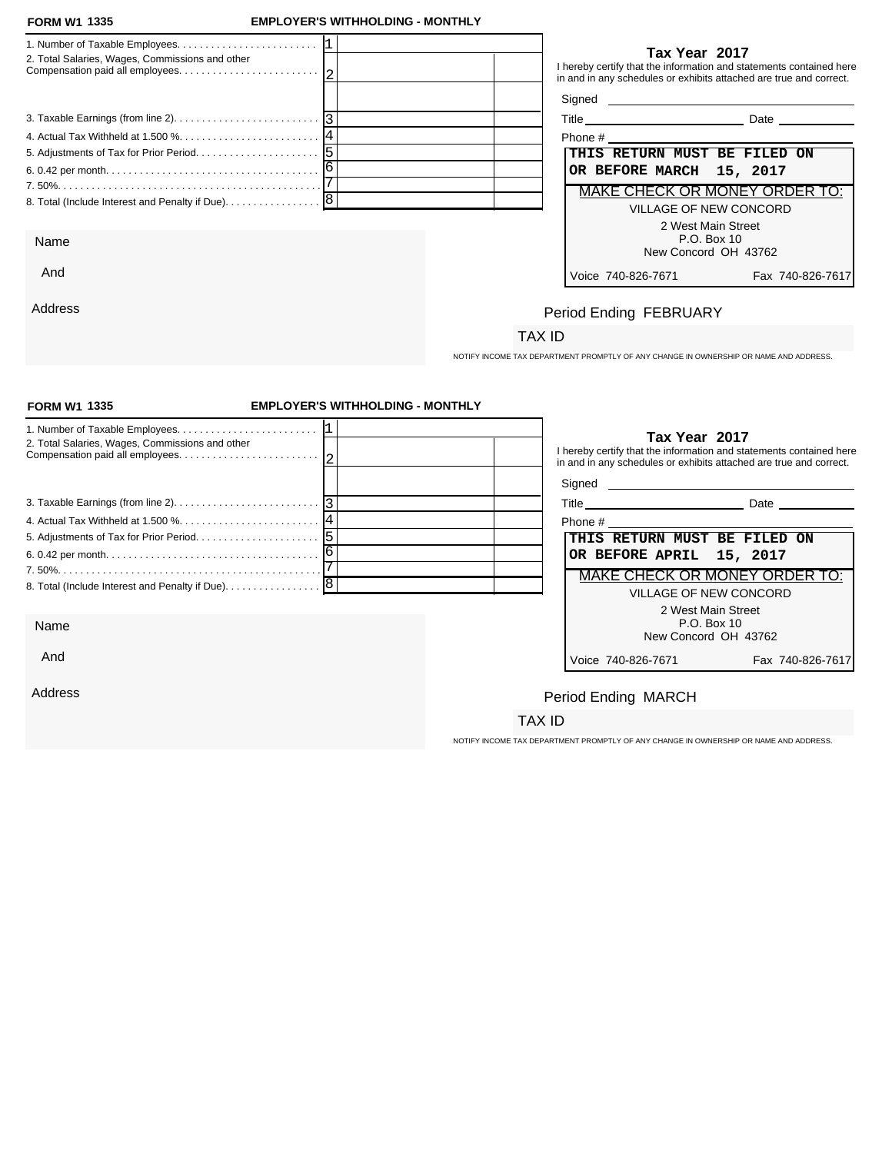And

Address

### **FORM W1 EMPLOYER'S WITHHOLDING - MONTHLY**

| 2. Total Salaries, Wages, Commissions and other   | Tax Year 2017<br>I hereby certify that the information and statements contained here<br>in and in any schedules or exhibits attached are true and correct.                                                                                   |
|---------------------------------------------------|----------------------------------------------------------------------------------------------------------------------------------------------------------------------------------------------------------------------------------------------|
|                                                   |                                                                                                                                                                                                                                              |
|                                                   | Title <u>superior and the set of the set of the set of the set of the set of the set of the set of the set of the set of the set of the set of the set of the set of the set of the set of the set of the set of the set of the </u><br>Date |
|                                                   | Phone # 2008 2009 2012 2022 2023 2024 2022 2023 2024 2022 2023 2024 2022 2023 2024 2022 2023 2024 20                                                                                                                                         |
|                                                   | THIS RETURN MUST BE FILED ON                                                                                                                                                                                                                 |
|                                                   | OR BEFORE MARCH 15, 2017                                                                                                                                                                                                                     |
|                                                   | MAKE CHECK OR MONEY ORDER TO:                                                                                                                                                                                                                |
| 8. Total (Include Interest and Penalty if Due). 8 | <b>VILLAGE OF NEW CONCORD</b>                                                                                                                                                                                                                |
|                                                   | 2 West Main Street                                                                                                                                                                                                                           |
| Name                                              | P.O. Box 10                                                                                                                                                                                                                                  |
|                                                   | Now Concord OH 42762                                                                                                                                                                                                                         |

### **Tax Year 2017**

| Phone #                              |                  |  |  |  |  |
|--------------------------------------|------------------|--|--|--|--|
| THIS RETURN MUST BE FILED ON         |                  |  |  |  |  |
| OR BEFORE MARCH 15, 2017             |                  |  |  |  |  |
| <b>MAKE CHECK OR MONEY ORDER TO:</b> |                  |  |  |  |  |
| VILLAGE OF NEW CONCORD               |                  |  |  |  |  |
| 2 West Main Street                   |                  |  |  |  |  |
| $P.O.$ Box 10                        |                  |  |  |  |  |
| New Concord OH 43762                 |                  |  |  |  |  |
| Voice 740-826-7671                   | Fax 740-826-7617 |  |  |  |  |

## Period Ending FEBRUARY

### TAX ID

NOTIFY INCOME TAX DEPARTMENT PROMPTLY OF ANY CHANGE IN OWNERSHIP OR NAME AND ADDRESS.

| <b>FORM W1 1335</b>                                                                             | <b>EMPLOYER'S WITHHOLDING - MONTHLY</b> |                                                                                                                                                            |  |  |  |
|-------------------------------------------------------------------------------------------------|-----------------------------------------|------------------------------------------------------------------------------------------------------------------------------------------------------------|--|--|--|
| 2. Total Salaries, Wages, Commissions and other                                                 |                                         | Tax Year 2017<br>I hereby certify that the information and statements contained here<br>in and in any schedules or exhibits attached are true and correct. |  |  |  |
|                                                                                                 |                                         |                                                                                                                                                            |  |  |  |
| 3. Taxable Earnings (from line 2). $\ldots$ . $\ldots$ . $\ldots$ . $\ldots$ . $\ldots$ . $ 3 $ |                                         | Title Date Date                                                                                                                                            |  |  |  |
|                                                                                                 |                                         |                                                                                                                                                            |  |  |  |
|                                                                                                 |                                         | THIS RETURN MUST BE FILED ON                                                                                                                               |  |  |  |
|                                                                                                 |                                         | OR BEFORE APRIL 15, 2017                                                                                                                                   |  |  |  |
|                                                                                                 |                                         | MAKE CHECK OR MONEY ORDER TO:                                                                                                                              |  |  |  |
| 8. Total (Include Interest and Penalty if Due). 8                                               |                                         | <b>VILLAGE OF NEW CONCORD</b>                                                                                                                              |  |  |  |
|                                                                                                 |                                         | 2 West Main Street                                                                                                                                         |  |  |  |
| Name                                                                                            |                                         | P.O. Box 10<br>New Concord OH 43762                                                                                                                        |  |  |  |
| And                                                                                             |                                         | Voice 740-826-7671<br>Fax 740-826-7617                                                                                                                     |  |  |  |
| Address                                                                                         |                                         | Period Ending MARCH                                                                                                                                        |  |  |  |
|                                                                                                 |                                         | TAX ID                                                                                                                                                     |  |  |  |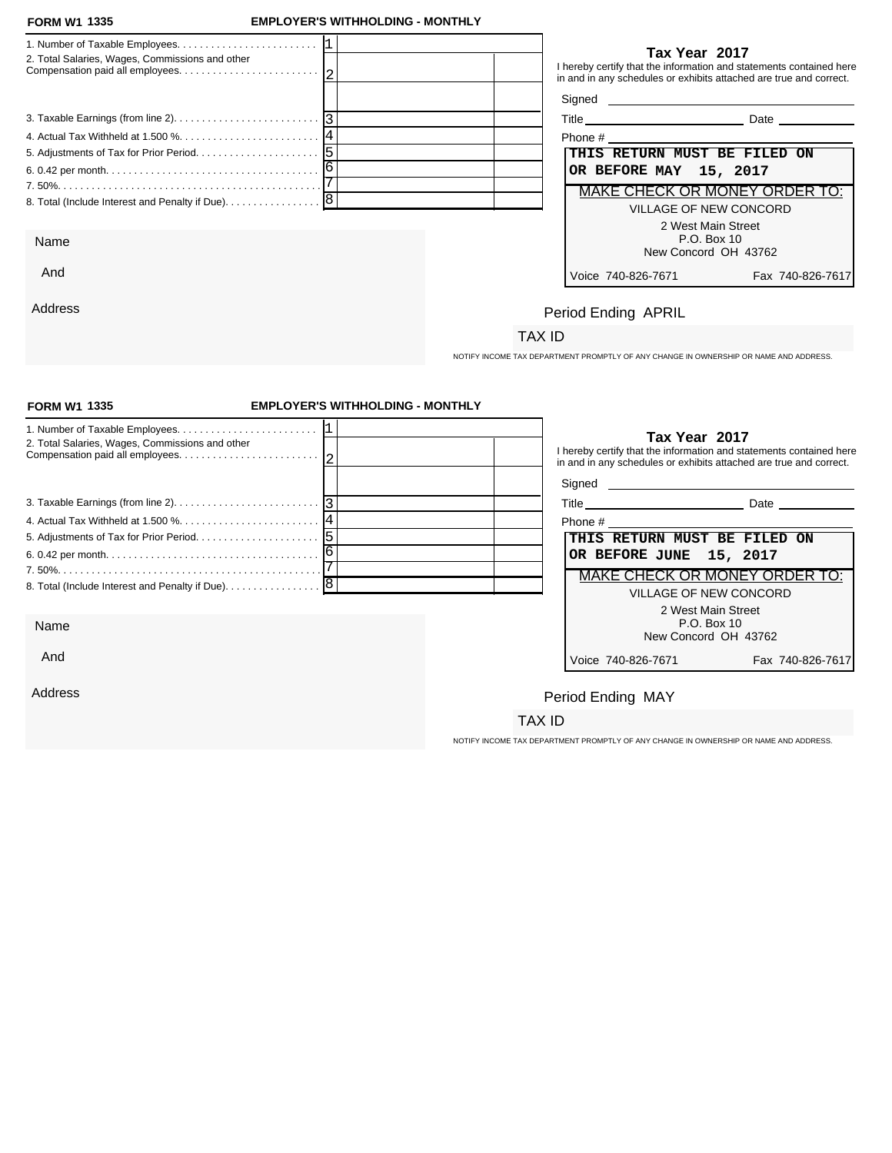And

Address

### **FORM W1 EMPLOYER'S WITHHOLDING - MONTHLY**

|                                                   | Tax Year 2017                                                                                                                             |
|---------------------------------------------------|-------------------------------------------------------------------------------------------------------------------------------------------|
| 2. Total Salaries, Wages, Commissions and other   | I hereby certify that the information and statements contained here<br>in and in any schedules or exhibits attached are true and correct. |
|                                                   | Signed <b>Signed</b>                                                                                                                      |
|                                                   | <b>Date Date</b>                                                                                                                          |
|                                                   | Phone #                                                                                                                                   |
|                                                   | THIS RETURN MUST BE FILED ON                                                                                                              |
|                                                   | OR BEFORE MAY 15, 2017                                                                                                                    |
|                                                   | MAKE CHECK OR MONEY ORDER TO:                                                                                                             |
| 8. Total (Include Interest and Penalty if Due). 8 | VILLAGE OF NEW CONCORD                                                                                                                    |
|                                                   | 2 West Main Street                                                                                                                        |
| Name                                              | P.O. Box 10<br>New Concord OH 43762                                                                                                       |

| Phone #                                |  |  |  |  |
|----------------------------------------|--|--|--|--|
| THIS RETURN MUST BE FILED ON           |  |  |  |  |
| OR BEFORE MAY 15, 2017                 |  |  |  |  |
| <b>MAKE CHECK OR MONEY ORDER TO:</b>   |  |  |  |  |
| VILLAGE OF NEW CONCORD                 |  |  |  |  |
| 2 West Main Street                     |  |  |  |  |
| P.O. Box 10                            |  |  |  |  |
| New Concord OH 43762                   |  |  |  |  |
| Voice 740-826-7671<br>Fax 740-826-7617 |  |  |  |  |

### Period Ending APRIL

### TAX ID

NOTIFY INCOME TAX DEPARTMENT PROMPTLY OF ANY CHANGE IN OWNERSHIP OR NAME AND ADDRESS.

| <b>FORM W1 1335</b>                               | <b>EMPLOYER'S WITHHOLDING - MONTHLY</b> |                                                                                                                                                            |  |  |
|---------------------------------------------------|-----------------------------------------|------------------------------------------------------------------------------------------------------------------------------------------------------------|--|--|
| 2. Total Salaries, Wages, Commissions and other   |                                         | Tax Year 2017<br>I hereby certify that the information and statements contained here<br>in and in any schedules or exhibits attached are true and correct. |  |  |
|                                                   |                                         |                                                                                                                                                            |  |  |
|                                                   |                                         |                                                                                                                                                            |  |  |
|                                                   |                                         |                                                                                                                                                            |  |  |
|                                                   |                                         | THIS RETURN MUST BE FILED ON                                                                                                                               |  |  |
|                                                   |                                         | OR BEFORE JUNE 15, 2017                                                                                                                                    |  |  |
|                                                   |                                         | MAKE CHECK OR MONEY ORDER TO:                                                                                                                              |  |  |
| 8. Total (Include Interest and Penalty if Due). 8 |                                         | VILLAGE OF NEW CONCORD                                                                                                                                     |  |  |
|                                                   |                                         | 2 West Main Street                                                                                                                                         |  |  |
| Name                                              |                                         | P.O. Box 10<br>New Concord OH 43762                                                                                                                        |  |  |
| And                                               |                                         | Voice 740-826-7671<br>Fax 740-826-7617                                                                                                                     |  |  |
| Address                                           |                                         | Period Ending MAY                                                                                                                                          |  |  |
|                                                   |                                         | TAX ID                                                                                                                                                     |  |  |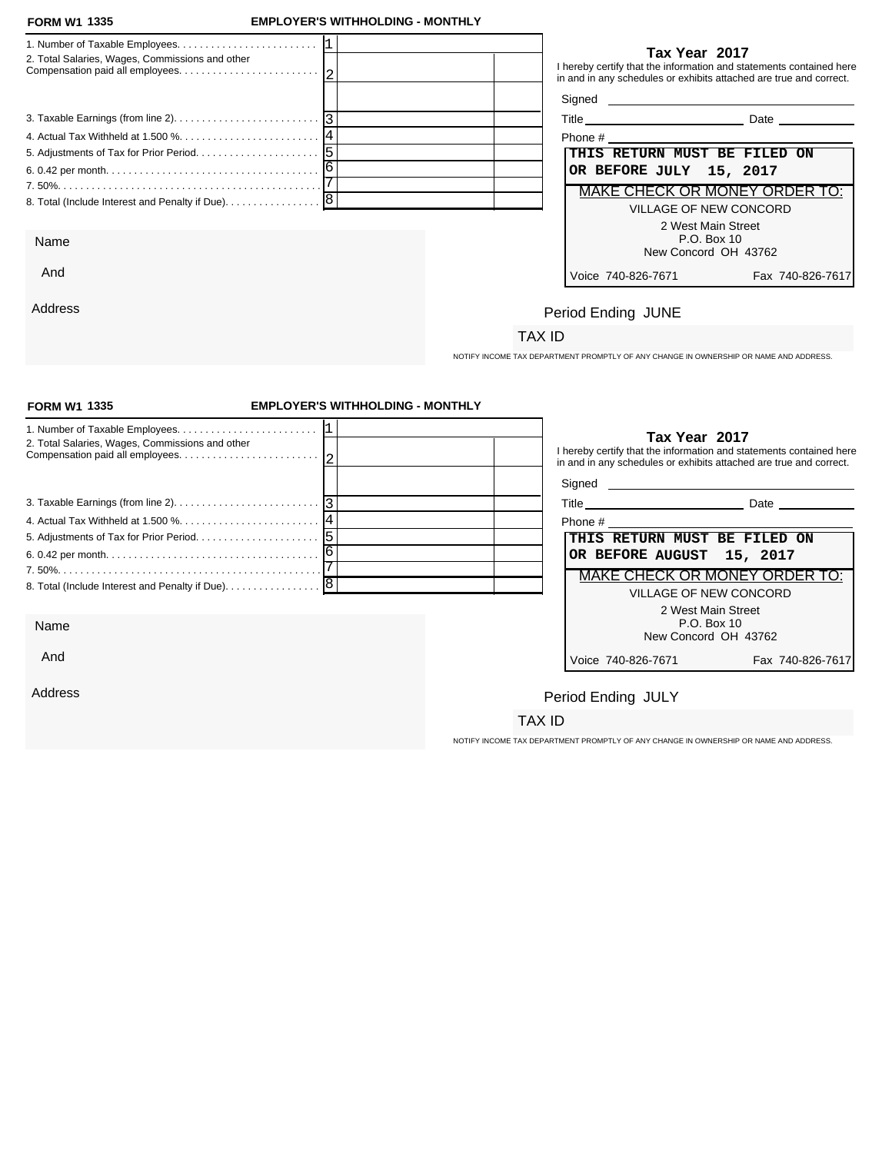Address

### **FORM W1 EMPLOYER'S WITHHOLDING - MONTHLY**

|                                                 |  |                              | Tax Year 2017                       |                                                                                                                                           |
|-------------------------------------------------|--|------------------------------|-------------------------------------|-------------------------------------------------------------------------------------------------------------------------------------------|
| 2. Total Salaries, Wages, Commissions and other |  |                              |                                     | I hereby certify that the information and statements contained here<br>in and in any schedules or exhibits attached are true and correct. |
|                                                 |  | Signed                       |                                     | <u> 1980 - Jan Samuel Barbara, margaret e populari e populari e populari e populari e populari e populari e popu</u>                      |
|                                                 |  |                              |                                     | <b>Date Date</b>                                                                                                                          |
|                                                 |  |                              |                                     |                                                                                                                                           |
|                                                 |  | THIS RETURN MUST BE FILED ON |                                     |                                                                                                                                           |
|                                                 |  | OR BEFORE JULY 15, 2017      |                                     |                                                                                                                                           |
|                                                 |  |                              |                                     | MAKE CHECK OR MONEY ORDER TO:                                                                                                             |
|                                                 |  |                              | <b>VILLAGE OF NEW CONCORD</b>       |                                                                                                                                           |
|                                                 |  |                              | 2 West Main Street                  |                                                                                                                                           |
| Name                                            |  |                              | P.O. Box 10<br>New Concord OH 43762 |                                                                                                                                           |
| And                                             |  | Voice 740-826-7671           |                                     | Fax 740-826-7617                                                                                                                          |

|  | . |  |
|--|---|--|
|  |   |  |

| Phone #                           |                  |  |
|-----------------------------------|------------------|--|
| THIS RETURN MUST BE FILED ON      |                  |  |
| OR BEFORE JULY 15, 2017           |                  |  |
| MAKE CHECK OR MONEY ORDER TO:     |                  |  |
| VILLAGE OF NEW CONCORD            |                  |  |
| 2 West Main Street<br>P.O. Box 10 |                  |  |
| New Concord OH 43762              |                  |  |
| Voice 740-826-7671                | Fax 740-826-7617 |  |

# Period Ending JUNE

### TAX ID

NOTIFY INCOME TAX DEPARTMENT PROMPTLY OF ANY CHANGE IN OWNERSHIP OR NAME AND ADDRESS.

| <b>FORM W1 1335</b>                             | <b>EMPLOYER'S WITHHOLDING - MONTHLY</b> |                                                                                                                                                            |
|-------------------------------------------------|-----------------------------------------|------------------------------------------------------------------------------------------------------------------------------------------------------------|
| 2. Total Salaries, Wages, Commissions and other |                                         | Tax Year 2017<br>I hereby certify that the information and statements contained here<br>in and in any schedules or exhibits attached are true and correct. |
|                                                 |                                         |                                                                                                                                                            |
|                                                 |                                         |                                                                                                                                                            |
|                                                 |                                         | Phone # 2008 2009 2012 2022 2023 2024 2022 2023 2024 2022 2023 2024 2022 2023 2024 2022 2023 2024 20                                                       |
|                                                 |                                         | THIS RETURN MUST BE FILED ON                                                                                                                               |
|                                                 |                                         | OR BEFORE AUGUST 15, 2017                                                                                                                                  |
|                                                 |                                         | MAKE CHECK OR MONEY ORDER TO:                                                                                                                              |
|                                                 |                                         | <b>VILLAGE OF NEW CONCORD</b>                                                                                                                              |
| Name                                            |                                         | 2 West Main Street<br>P.O. Box 10<br>New Concord OH 43762                                                                                                  |
| And                                             |                                         | Voice 740-826-7671<br>Fax 740-826-7617                                                                                                                     |
| Address                                         |                                         | Period Ending JULY                                                                                                                                         |
|                                                 |                                         | TAX ID                                                                                                                                                     |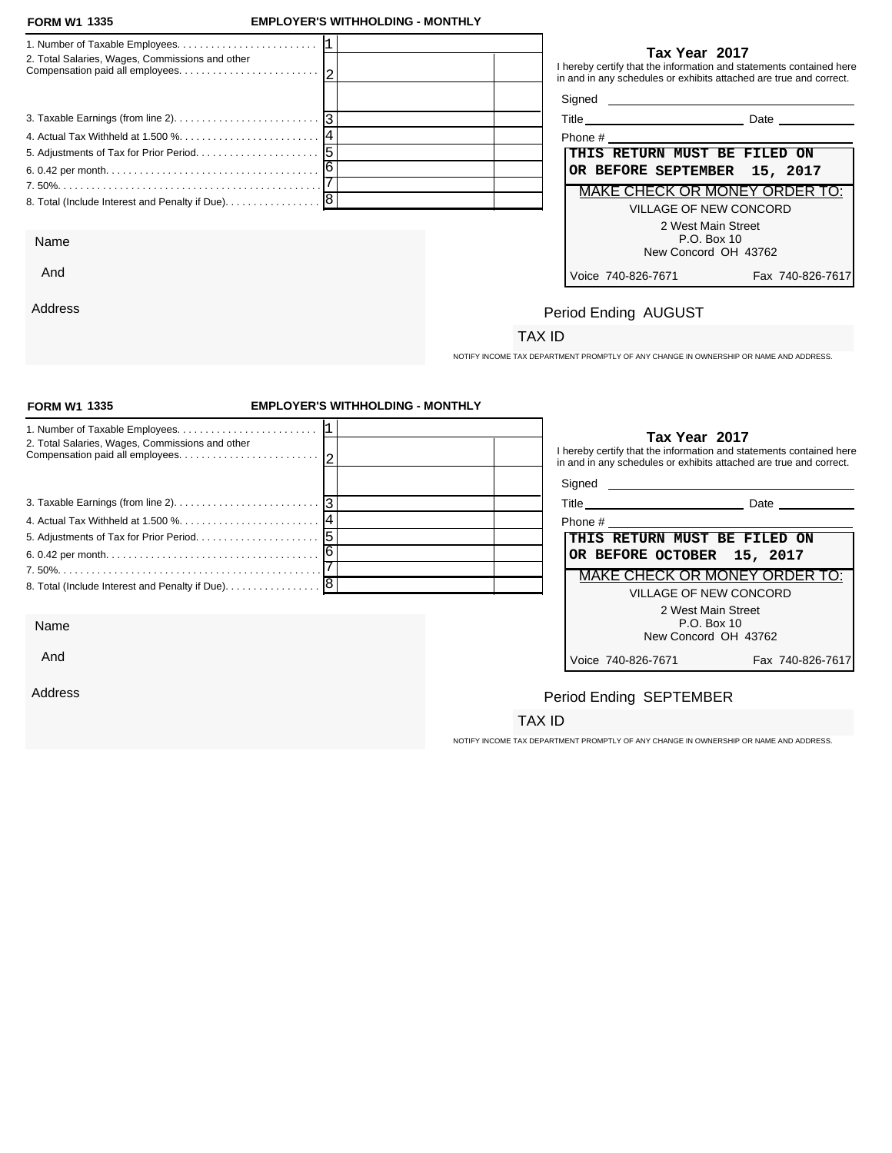And

Address

### **FORM W1 EMPLOYER'S WITHHOLDING - MONTHLY**

| 2. Total Salaries, Wages, Commissions and other   | Tax Year 2017<br>I hereby certify that the information and statements contained here<br>in and in any schedules or exhibits attached are true and correct. |
|---------------------------------------------------|------------------------------------------------------------------------------------------------------------------------------------------------------------|
|                                                   |                                                                                                                                                            |
|                                                   | Date                                                                                                                                                       |
|                                                   | Phone #                                                                                                                                                    |
|                                                   | <b>THIS RETURN MUST BE FILED ON</b>                                                                                                                        |
|                                                   | OR BEFORE SEPTEMBER 15, 2017                                                                                                                               |
|                                                   | MAKE CHECK OR MONEY ORDER TO:                                                                                                                              |
| 8. Total (Include Interest and Penalty if Due). 8 | VILLAGE OF NEW CONCORD                                                                                                                                     |
|                                                   | 2 West Main Street                                                                                                                                         |
| Name                                              | P.O. Box 10                                                                                                                                                |
|                                                   | New Concord OH 43762                                                                                                                                       |

| Phone #                              |                  |  |  |  |  |
|--------------------------------------|------------------|--|--|--|--|
| THIS RETURN MUST BE FILED ON         |                  |  |  |  |  |
| OR BEFORE SEPTEMBER 15, 2017         |                  |  |  |  |  |
| <b>MAKE CHECK OR MONEY ORDER TO:</b> |                  |  |  |  |  |
| VILLAGE OF NEW CONCORD               |                  |  |  |  |  |
| 2 West Main Street                   |                  |  |  |  |  |
| P.O. Box 10                          |                  |  |  |  |  |
| New Concord OH 43762                 |                  |  |  |  |  |
| Voice 740-826-7671                   | Fax 740-826-7617 |  |  |  |  |

## Period Ending AUGUST

### TAX ID

NOTIFY INCOME TAX DEPARTMENT PROMPTLY OF ANY CHANGE IN OWNERSHIP OR NAME AND ADDRESS.

| <b>FORM W1 1335</b>                                                                         | <b>EMPLOYER'S WITHHOLDING - MONTHLY</b> |                                                                                     |                                                                     |
|---------------------------------------------------------------------------------------------|-----------------------------------------|-------------------------------------------------------------------------------------|---------------------------------------------------------------------|
| 2. Total Salaries, Wages, Commissions and other                                             |                                         | Tax Year 2017<br>in and in any schedules or exhibits attached are true and correct. | I hereby certify that the information and statements contained here |
| 3. Taxable Earnings (from line 2). $\ldots$ . $\ldots$ . $\ldots$ . $\ldots$ . $\ldots$   3 |                                         |                                                                                     | Title Date Date                                                     |
|                                                                                             |                                         | Phone #                                                                             |                                                                     |
|                                                                                             |                                         | THIS RETURN MUST BE FILED ON                                                        |                                                                     |
|                                                                                             |                                         | OR BEFORE OCTOBER 15, 2017                                                          |                                                                     |
|                                                                                             | MAKE CHECK OR MONEY ORDER TO:           |                                                                                     |                                                                     |
|                                                                                             |                                         |                                                                                     | VILLAGE OF NEW CONCORD                                              |
| Name                                                                                        |                                         |                                                                                     | 2 West Main Street<br>P.O. Box 10<br>New Concord OH 43762           |
| And                                                                                         |                                         | Voice 740-826-7671                                                                  | Fax 740-826-7617                                                    |
| Address                                                                                     |                                         | Period Ending SEPTEMBER                                                             |                                                                     |
|                                                                                             |                                         | TAX ID                                                                              |                                                                     |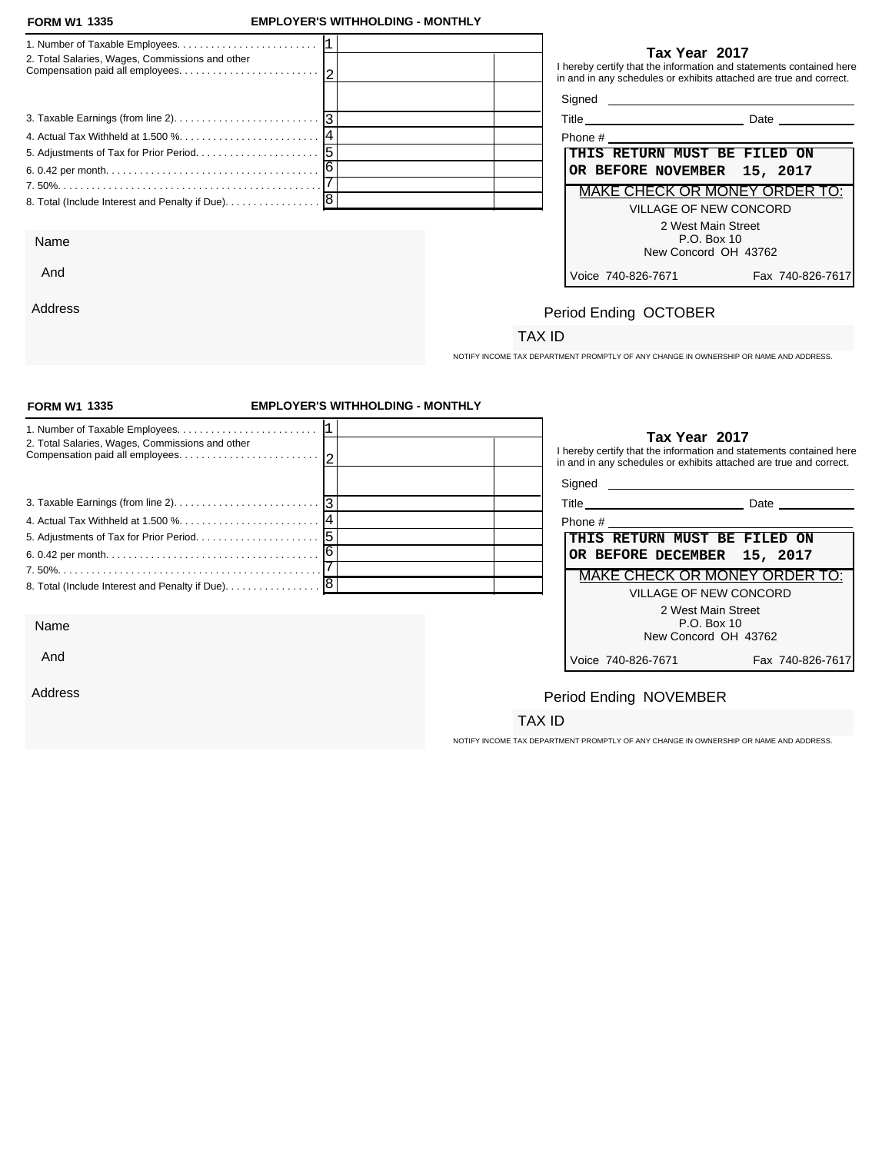And

Address

### **FORM W1 EMPLOYER'S WITHHOLDING - MONTHLY**

| 2. Total Salaries, Wages, Commissions and other | Tax Year 2017<br>I hereby certify that the information and statements contained here<br>in and in any schedules or exhibits attached are true and correct. |
|-------------------------------------------------|------------------------------------------------------------------------------------------------------------------------------------------------------------|
|                                                 |                                                                                                                                                            |
|                                                 | Date                                                                                                                                                       |
|                                                 | Phone #                                                                                                                                                    |
|                                                 | <b>THIS RETURN MUST BE FILED ON</b>                                                                                                                        |
|                                                 | OR BEFORE NOVEMBER 15, 2017                                                                                                                                |
|                                                 | MAKE CHECK OR MONEY ORDER TO:                                                                                                                              |
|                                                 | <b>VILLAGE OF NEW CONCORD</b>                                                                                                                              |
|                                                 | 2 West Main Street                                                                                                                                         |
| Name                                            | P.O. Box 10                                                                                                                                                |
|                                                 | New Concord OH 43762                                                                                                                                       |

| Phone #                       |                 |  |  |  |
|-------------------------------|-----------------|--|--|--|
| THIS RETURN MUST BE FILED ON  |                 |  |  |  |
| OR BEFORE NOVEMBER 15, 2017   |                 |  |  |  |
| MAKE CHECK OR MONEY ORDER TO: |                 |  |  |  |
| VILLAGE OF NEW CONCORD        |                 |  |  |  |
| 2 West Main Street            |                 |  |  |  |
| $P.O.$ Box 10                 |                 |  |  |  |
| New Concord OH 43762          |                 |  |  |  |
| Voice 740-826-7671            | Fax 740-826-761 |  |  |  |

## Period Ending OCTOBER

### TAX ID

NOTIFY INCOME TAX DEPARTMENT PROMPTLY OF ANY CHANGE IN OWNERSHIP OR NAME AND ADDRESS.

| <b>FORM W1 1335</b>                                                                                         | <b>EMPLOYER'S WITHHOLDING - MONTHLY</b> |                                                                                                                                                            |                               |
|-------------------------------------------------------------------------------------------------------------|-----------------------------------------|------------------------------------------------------------------------------------------------------------------------------------------------------------|-------------------------------|
| 2. Total Salaries, Wages, Commissions and other                                                             |                                         | Tax Year 2017<br>I hereby certify that the information and statements contained here<br>in and in any schedules or exhibits attached are true and correct. |                               |
| 3. Taxable Earnings (from line 2). $\ldots$ . $\ldots$ . $\ldots$ . $\ldots$ . $\ldots$ . $\lceil 3 \rceil$ |                                         | Title Date Date                                                                                                                                            |                               |
|                                                                                                             |                                         | Phone # 2008 2009 2012 2022 2023 2024 2022 2023 2024 2022 2023 2024 2022 2023 2024 2022 2023 2024 2023 2024 20                                             |                               |
|                                                                                                             |                                         | THIS RETURN MUST BE FILED ON                                                                                                                               |                               |
|                                                                                                             |                                         | OR BEFORE DECEMBER 15, 2017                                                                                                                                |                               |
|                                                                                                             |                                         |                                                                                                                                                            | MAKE CHECK OR MONEY ORDER TO: |
| 8. Total (Include Interest and Penalty if Due). 8                                                           |                                         | VILLAGE OF NEW CONCORD                                                                                                                                     |                               |
|                                                                                                             |                                         |                                                                                                                                                            | 2 West Main Street            |
| Name                                                                                                        |                                         | P.O. Box 10<br>New Concord OH 43762                                                                                                                        |                               |
| And                                                                                                         |                                         | Voice 740-826-7671                                                                                                                                         | Fax 740-826-7617              |
| Address                                                                                                     |                                         | Period Ending NOVEMBER                                                                                                                                     |                               |
|                                                                                                             |                                         | TAX ID                                                                                                                                                     |                               |